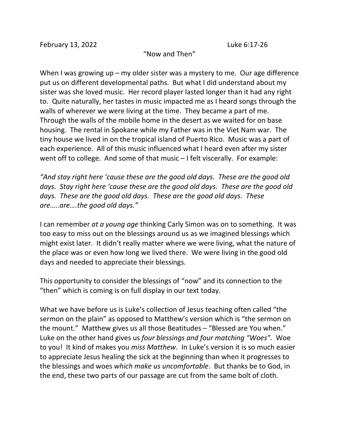February 13, 2022 Luke 6:17-26

"Now and Then"

When I was growing up – my older sister was a mystery to me. Our age difference put us on different developmental paths. But what I did understand about my sister was she loved music. Her record player lasted longer than it had any right to. Quite naturally, her tastes in music impacted me as I heard songs through the walls of wherever we were living at the time. They became a part of me. Through the walls of the mobile home in the desert as we waited for on base housing. The rental in Spokane while my Father was in the Viet Nam war. The tiny house we lived in on the tropical island of Puerto Rico. Music was a part of each experience. All of this music influenced what I heard even after my sister went off to college. And some of that music – I felt viscerally. For example:

*"And stay right here 'cause these are the good old days. These are the good old days. Stay right here 'cause these are the good old days. These are the good old days. These are the good old days. These are the good old days. These are…..are….the good old days."* 

I can remember *at a young age* thinking Carly Simon was on to something. It was too easy to miss out on the blessings around us as we imagined blessings which might exist later. It didn't really matter where we were living, what the nature of the place was or even how long we lived there. We were living in the good old days and needed to appreciate their blessings.

This opportunity to consider the blessings of "now" and its connection to the "then" which is coming is on full display in our text today.

What we have before us is Luke's collection of Jesus teaching often called "the sermon on the plain" as opposed to Matthew's version which is "the sermon on the mount." Matthew gives us all those Beatitudes – "Blessed are You when." Luke on the other hand gives us *four blessings and four matching "Woes".* Woe to you! It kind of makes you *miss Matthew*. In Luke's version it is so much easier to appreciate Jesus healing the sick at the beginning than when it progresses to the blessings and woes *which make us uncomfortable*. But thanks be to God, in the end, these two parts of our passage are cut from the same bolt of cloth.